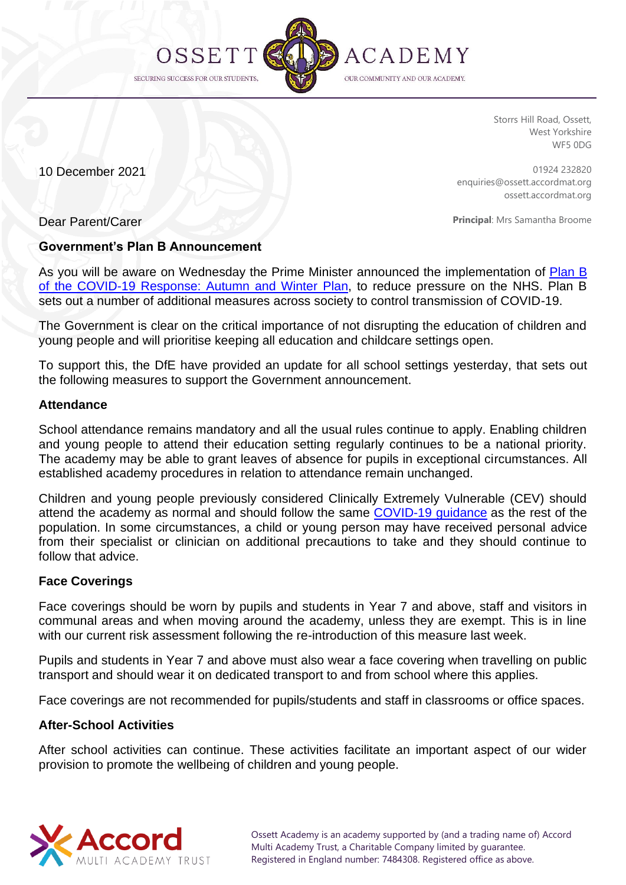

Storrs Hill Road, Ossett, West Yorkshire WF5 0DG

10 December 2021

01924 232820 enquiries@ossett.accordmat.org ossett.accordmat.org

Dear Parent/Carer

**Principal**: Mrs Samantha Broome

## **Government's Plan B Announcement**

As you will be aware on Wednesday the Prime Minister announced the implementation of [Plan B](https://www.gov.uk/government/publications/covid-19-response-autumn-and-winter-plan-2021?utm_source=7%20December%202021%20C19&utm_medium=Daily%20Email%20C19&utm_campaign=DfE%20C19)  [of the COVID-19 Response: Autumn and Winter](https://www.gov.uk/government/publications/covid-19-response-autumn-and-winter-plan-2021?utm_source=7%20December%202021%20C19&utm_medium=Daily%20Email%20C19&utm_campaign=DfE%20C19) Plan, to reduce pressure on the NHS. Plan B sets out a number of additional measures across society to control transmission of COVID-19.

The Government is clear on the critical importance of not disrupting the education of children and young people and will prioritise keeping all education and childcare settings open.

To support this, the DfE have provided an update for all school settings yesterday, that sets out the following measures to support the Government announcement.

## **Attendance**

School attendance remains mandatory and all the usual rules continue to apply. Enabling children and young people to attend their education setting regularly continues to be a national priority. The academy may be able to grant leaves of absence for pupils in exceptional circumstances. All established academy procedures in relation to attendance remain unchanged.

Children and young people previously considered Clinically Extremely Vulnerable (CEV) should attend the academy as normal and should follow the same [COVID-19 guidance](https://www.gov.uk/coronavirus?utm_source=7%20December%202021%20C19&utm_medium=Daily%20Email%20C19&utm_campaign=DfE%25) as the rest of the population. In some circumstances, a child or young person may have received personal advice from their specialist or clinician on additional precautions to take and they should continue to follow that advice.

## **Face Coverings**

Face coverings should be worn by pupils and students in Year 7 and above, staff and visitors in communal areas and when moving around the academy, unless they are exempt. This is in line with our current risk assessment following the re-introduction of this measure last week.

Pupils and students in Year 7 and above must also wear a face covering when travelling on public transport and should wear it on dedicated transport to and from school where this applies.

Face coverings are not recommended for pupils/students and staff in classrooms or office spaces.

## **After-School Activities**

After school activities can continue. These activities facilitate an important aspect of our wider provision to promote the wellbeing of children and young people.

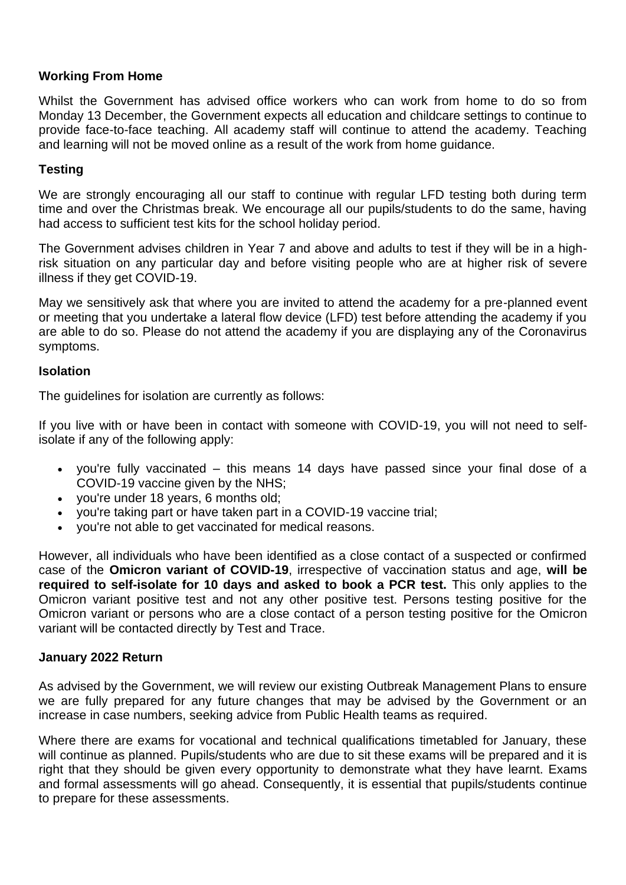# **Working From Home**

Whilst the Government has advised office workers who can work from home to do so from Monday 13 December, the Government expects all education and childcare settings to continue to provide face-to-face teaching. All academy staff will continue to attend the academy. Teaching and learning will not be moved online as a result of the work from home guidance.

## **Testing**

We are strongly encouraging all our staff to continue with regular LFD testing both during term time and over the Christmas break. We encourage all our pupils/students to do the same, having had access to sufficient test kits for the school holiday period.

The Government advises children in Year 7 and above and adults to test if they will be in a highrisk situation on any particular day and before visiting people who are at higher risk of severe illness if they get COVID-19.

May we sensitively ask that where you are invited to attend the academy for a pre-planned event or meeting that you undertake a lateral flow device (LFD) test before attending the academy if you are able to do so. Please do not attend the academy if you are displaying any of the Coronavirus symptoms.

#### **Isolation**

The guidelines for isolation are currently as follows:

If you live with or have been in contact with someone with COVID-19, you will not need to selfisolate if any of the following apply:

- you're fully vaccinated this means 14 days have passed since your final dose of a COVID-19 vaccine given by the NHS;
- you're under 18 years, 6 months old;
- you're taking part or have taken part in a COVID-19 vaccine trial;
- you're not able to get vaccinated for medical reasons.

However, all individuals who have been identified as a close contact of a suspected or confirmed case of the **Omicron variant of COVID-19**, irrespective of vaccination status and age, **will be required to self-isolate for 10 days and asked to book a PCR test.** This only applies to the Omicron variant positive test and not any other positive test. Persons testing positive for the Omicron variant or persons who are a close contact of a person testing positive for the Omicron variant will be contacted directly by Test and Trace.

## **January 2022 Return**

As advised by the Government, we will review our existing Outbreak Management Plans to ensure we are fully prepared for any future changes that may be advised by the Government or an increase in case numbers, seeking advice from Public Health teams as required.

Where there are exams for vocational and technical qualifications timetabled for January, these will continue as planned. Pupils/students who are due to sit these exams will be prepared and it is right that they should be given every opportunity to demonstrate what they have learnt. Exams and formal assessments will go ahead. Consequently, it is essential that pupils/students continue to prepare for these assessments.